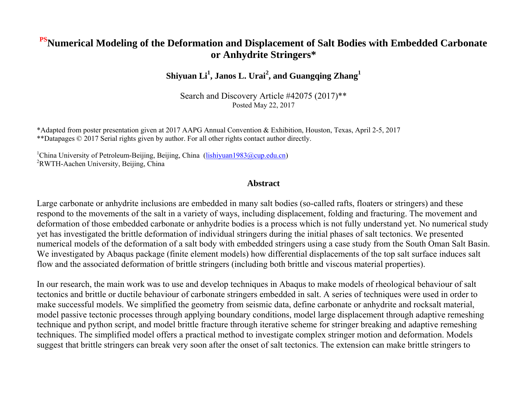#### **PSNumerical Modeling of the Deformation and Displacement of Salt Bodies with Embedded Carbonate or Anhydrite Stringers\***

**Shiyuan Li<sup>1</sup> , Janos L. Urai<sup>2</sup> , and Guangqing Zhang<sup>1</sup>**

Search and Discovery Article #42075 (2017)\*\* Posted May 22, 2017

\*Adapted from poster presentation given at 2017 AAPG Annual Convention & Exhibition, Houston, Texas, April 2-5, 2017 \*\*Datapages © 2017 Serial rights given by author. For all other rights contact author directly.

<sup>1</sup>China University of Petroleum-Beijing, Beijing, China [\(lishiyuan1983@cup.edu.cn\)](mailto:lishiyuan1983@cup.edu.cn) <sup>2</sup>RWTH-Aachen University, Beijing, China

#### **Abstract**

Large carbonate or anhydrite inclusions are embedded in many salt bodies (so-called rafts, floaters or stringers) and these respond to the movements of the salt in a variety of ways, including displacement, folding and fracturing. The movement and deformation of those embedded carbonate or anhydrite bodies is a process which is not fully understand yet. No numerical study yet has investigated the brittle deformation of individual stringers during the initial phases of salt tectonics. We presented numerical models of the deformation of a salt body with embedded stringers using a case study from the South Oman Salt Basin. We investigated by Abaqus package (finite element models) how differential displacements of the top salt surface induces salt flow and the associated deformation of brittle stringers (including both brittle and viscous material properties).

In our research, the main work was to use and develop techniques in Abaqus to make models of rheological behaviour of salt tectonics and brittle or ductile behaviour of carbonate stringers embedded in salt. A series of techniques were used in order to make successful models. We simplified the geometry from seismic data, define carbonate or anhydrite and rocksalt material, model passive tectonic processes through applying boundary conditions, model large displacement through adaptive remeshing technique and python script, and model brittle fracture through iterative scheme for stringer breaking and adaptive remeshing techniques. The simplified model offers a practical method to investigate complex stringer motion and deformation. Models suggest that brittle stringers can break very soon after the onset of salt tectonics. The extension can make brittle stringers to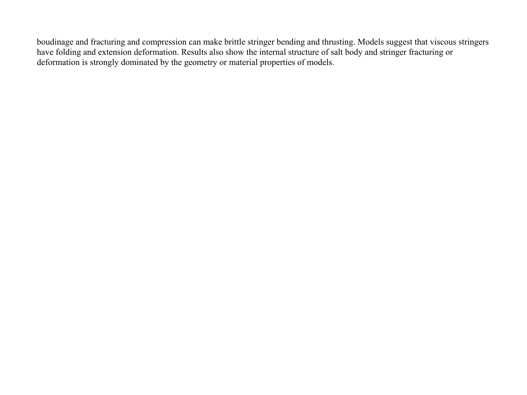boudinage and fracturing and compression can make brittle stringer bending and thrusting. Models suggest that viscous stringers have folding and extension deformation. Results also show the internal structure of salt body and stringer fracturing or deformation is strongly dominated by the geometry or material properties of models.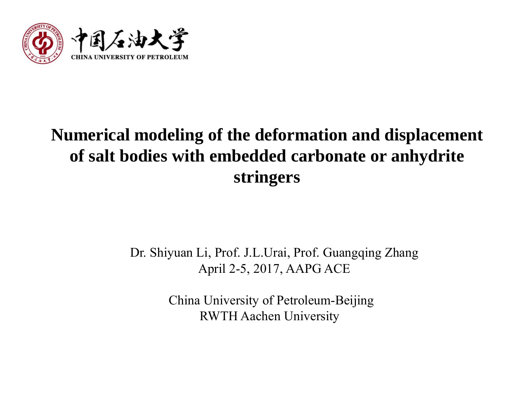

## **Numerical modeling of the deformation and displacement of salt bodies with embedded carbonate or anhydrite stringers**

### Dr. Shiyuan Li, Prof. J.L.Urai, Prof. Guangqing Zhang April 2-5, 2017, AAPG ACE

 China University of Petroleum-Beijing RWTH Aachen University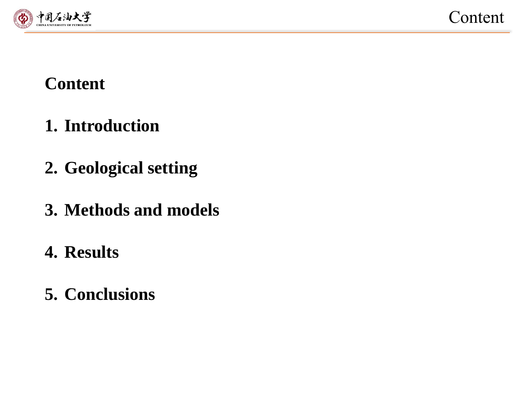

# **Content**

- **1. Introduction**
- **2. Geological setting**
- **3. Methods and models**
- **4. Results**
- **5. Conclusions**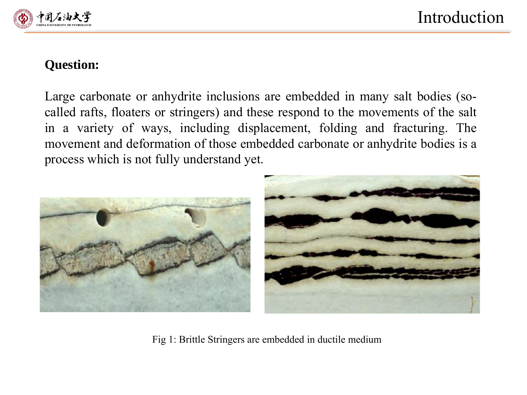

#### **Question:**

Large carbonate or anhydrite inclusions are embedded in many salt bodies (socalled rafts, floaters or stringers) and these respond to the movements of the salt in a variety of ways, including displacement, folding and fracturing. The movement and deformation of those embedded carbonate or anhydrite bodies is a process which is not fully understand yet.



Fig 1: Brittle Stringers are embedded in ductile medium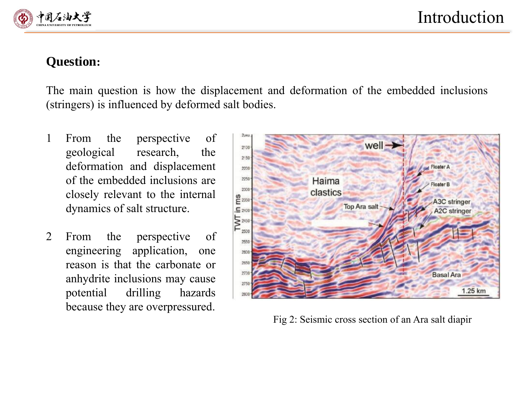

### **Question:**

The main question is how the displacement and deformation of the embedded inclusions (stringers) is influenced by deformed salt bodies.

- 1 From the perspective of geological research, the deformation and displacement of the embedded inclusions are closely relevant to the internal dynamics of salt structure.
- 2 From the perspective of engineering application, one reason is that the carbonate or anhydrite inclusions may cause potential drilling hazards because they are overpressured.



Fig 2: Seismic cross section of an Ara salt diapir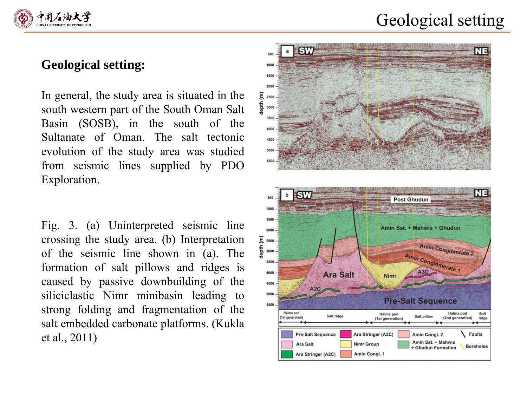

### Geological setting

#### **Geological setting:**

In general, the study area is situated in the south western part of the South Oman Salt Basin (SOSB), in the south of the Sultanate of Oman. The salt tectonic evolution of the study area was studied from seismic lines supplied by PDO Exploration.

Fig. 3. (a) Uninterpreted seismic line crossing the study area. (b) Interpretation of the seismic line shown in (a). The formation of salt pillows and ridges is caused by passive downbuilding of the siliciclastic Nimr minibasin leading to strong folding and fragmentation of the salt embedded carbonate platforms. (Kukla et al., 2011)

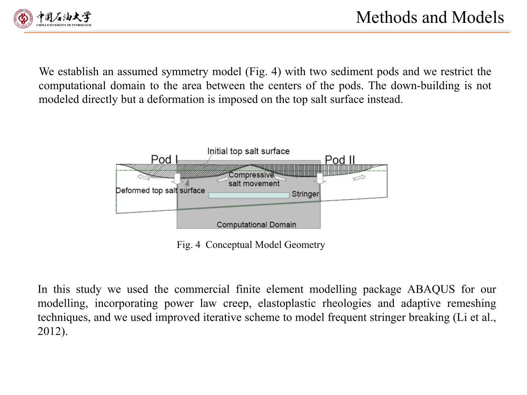

We establish an assumed symmetry model (Fig. 4) with two sediment pods and we restrict the computational domain to the area between the centers of the pods. The down-building is not modeled directly but a deformation is imposed on the top salt surface instead.



Fig. 4 Conceptual Model Geometry

In this study we used the commercial finite element modelling package ABAQUS for our modelling, incorporating power law creep, elastoplastic rheologies and adaptive remeshing techniques, and we used improved iterative scheme to model frequent stringer breaking (Li et al., 2012).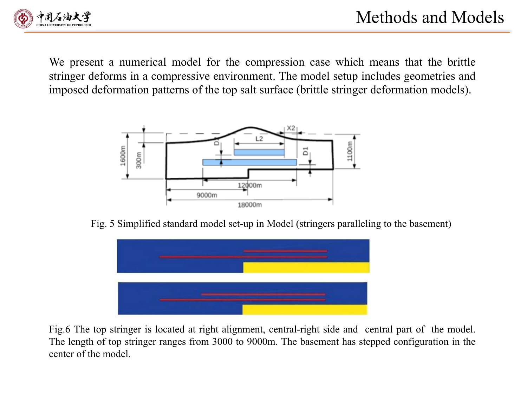

We present a numerical model for the compression case which means that the brittle stringer deforms in a compressive environment. The model setup includes geometries and imposed deformation patterns of the top salt surface (brittle stringer deformation models).



Fig. 5 Simplified standard model set-up in Model (stringers paralleling to the basement)



Fig.6 The top stringer is located at right alignment, central-right side and central part of the model. The length of top stringer ranges from 3000 to 9000m. The basement has stepped configuration in the center of the model.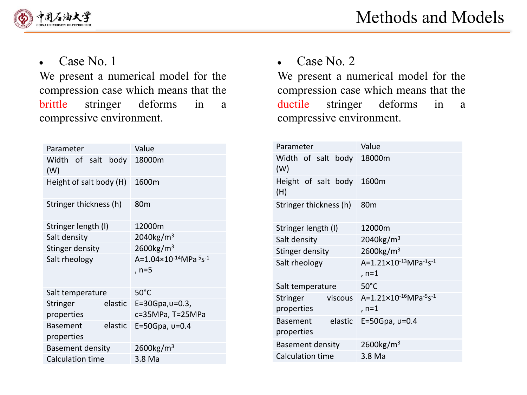

Case No. 1  $\bullet$ 

We present a numerical model for the compression case which means that the brittle stringer deforms in a compressive environment.

| Parameter                     |         | Value                                                              |
|-------------------------------|---------|--------------------------------------------------------------------|
| Width of salt body<br>(W)     |         | 18000m                                                             |
| Height of salt body (H)       |         | 1600m                                                              |
| Stringer thickness (h)        |         | 80 <sub>m</sub>                                                    |
| Stringer length (I)           |         | 12000m                                                             |
| Salt density                  |         | $2040$ kg/m <sup>3</sup>                                           |
| Stinger density               |         | $2600$ kg/m <sup>3</sup>                                           |
| Salt rheology                 |         | A=1.04×10 <sup>-14</sup> MPa <sup>5</sup> s <sup>-1</sup><br>, n=5 |
| Salt temperature              |         | $50^{\circ}$ C                                                     |
| Stringer                      | elastic | $E = 30Gpa, v = 0.3$                                               |
| properties                    |         | c=35MPa, T=25MPa                                                   |
| <b>Basement</b><br>properties | elastic | E=50Gpa, $v=0.4$                                                   |
|                               |         | $2600$ kg/m <sup>3</sup>                                           |
| <b>Basement density</b>       |         |                                                                    |
| <b>Calculation time</b>       |         | 3.8 Ma                                                             |

Case No. 2  $\bullet$ 

We present a numerical model for the compression case which means that the ductile stringer deforms in a compressive environment.

| Parameter                                | Value                                                                 |
|------------------------------------------|-----------------------------------------------------------------------|
| Width of salt body<br>(W)                | 18000m                                                                |
| Height of salt body<br>(H)               | 1600m                                                                 |
| Stringer thickness (h)                   | 80 <sub>m</sub>                                                       |
| Stringer length (I)                      | 12000m                                                                |
| Salt density                             | $2040$ kg/m <sup>3</sup>                                              |
| Stinger density                          | $2600$ kg/m <sup>3</sup>                                              |
| Salt rheology                            | $A = 1.21 \times 10^{-13} MPa^{-1}s^{-1}$<br>, n=1                    |
| Salt temperature                         | $50^{\circ}$ C                                                        |
| viscous<br>Stringer<br>properties        | $A = 1.21 \times 10^{-16}$ MPa <sup>-5</sup> s <sup>-1</sup><br>, n=1 |
| elastic<br><b>Basement</b><br>properties | E=50Gpa, $v=0.4$                                                      |
| <b>Basement density</b>                  | $2600$ kg/m <sup>3</sup>                                              |
| <b>Calculation time</b>                  | 3.8 Ma                                                                |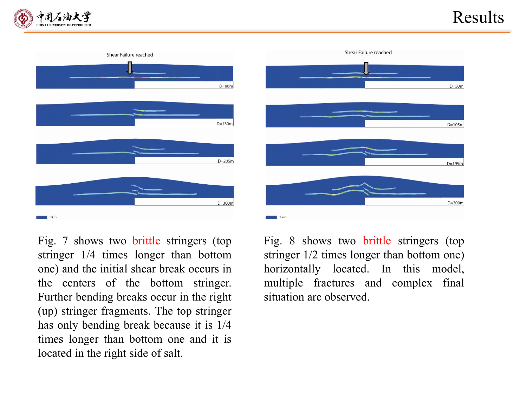### Results







Fig. 7 shows two brittle stringers (top stringer 1/4 times longer than bottom one) and the initial shear break occurs in the centers of the bottom stringer. Further bending breaks occur in the right (up) stringer fragments. The top stringer has only bending break because it is 1/4 times longer than bottom one and it is located in the right side of salt.

Fig. 8 shows two brittle stringers (top stringer 1/2 times longer than bottom one) horizontally located. In this model, multiple fractures and complex final situation are observed.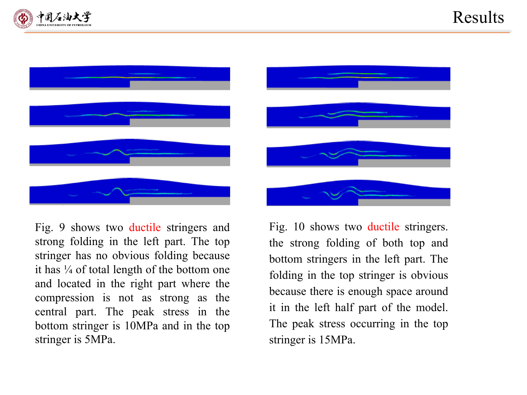





Fig. 9 shows two ductile stringers and strong folding in the left part. The top stringer has no obvious folding because it has  $\frac{1}{4}$  of total length of the bottom one and located in the right part where the compression is not as strong as the central part. The peak stress in the bottom stringer is 10MPa and in the top stringer is 5MPa.

Fig. 10 shows two ductile stringers. the strong folding of both top and bottom stringers in the left part. The folding in the top stringer is obvious because there is enough space around it in the left half part of the model. The peak stress occurring in the top stringer is 15MPa.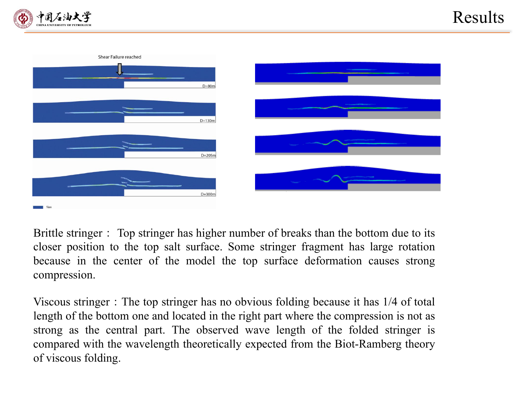



Brittle stringer: Top stringer has higher number of breaks than the bottom due to its closer position to the top salt surface. Some stringer fragment has large rotation because in the center of the model the top surface deformation causes strong compression.

Viscous stringer: The top stringer has no obvious folding because it has 1/4 of total length of the bottom one and located in the right part where the compression is not as strong as the central part. The observed wave length of the folded stringer is compared with the wavelength theoretically expected from the Biot-Ramberg theory of viscous folding.